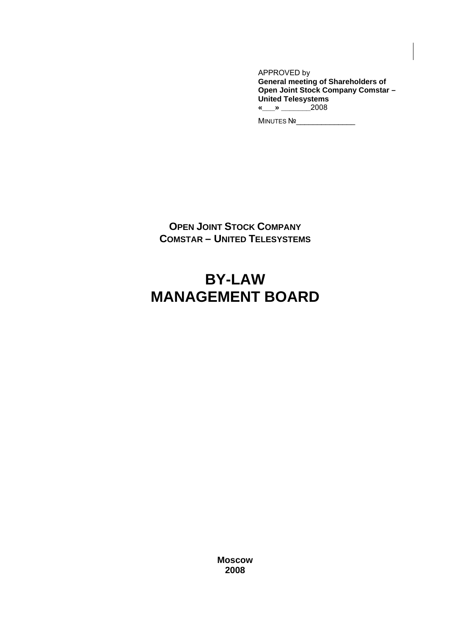APPROVED by **General meeting of Shareholders of Open Joint Stock Company Comstar – United Telesystems «\_\_\_» \_\_\_\_\_\_\_**2008

MINUTES №\_\_\_\_\_\_\_\_\_\_\_\_\_\_

**OPEN JOINT STOCK COMPANY COMSTAR – UNITED TELESYSTEMS** 

# **BY-LAW MANAGEMENT BOARD**

**Moscow 2008**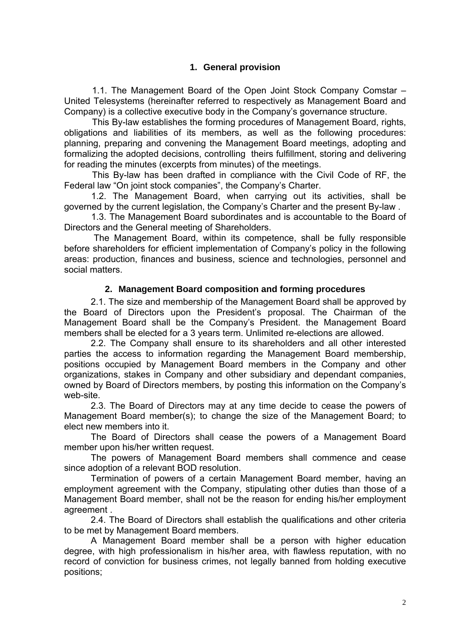# **1. General provision**

1.1. The Management Board of the Open Joint Stock Company Comstar – United Telesystems (hereinafter referred to respectively as Management Board and Company) is a collective executive body in the Company's governance structure.

This By-law establishes the forming procedures of Management Board, rights, obligations and liabilities of its members, as well as the following procedures: planning, preparing and convening the Management Board meetings, adopting and formalizing the adopted decisions, controlling theirs fulfillment, storing and delivering for reading the minutes (excerpts from minutes) of the meetings.

This By-law has been drafted in compliance with the Civil Code of RF, the Federal law "On joint stock companies", the Company's Charter.

1.2. The Management Board, when carrying out its activities, shall be governed by the current legislation, the Company's Charter and the present By-law .

1.3. The Management Board subordinates and is accountable to the Board of Directors and the General meeting of Shareholders.

 The Management Board, within its competence, shall be fully responsible before shareholders for efficient implementation of Company's policy in the following areas: production, finances and business, science and technologies, personnel and social matters.

#### **2. Management Board composition and forming procedures**

2.1. The size and membership of the Management Board shall be approved by the Board of Directors upon the President's proposal. The Chairman of the Management Board shall be the Company's President. the Management Board members shall be elected for a 3 years term. Unlimited re-elections are allowed.

2.2. The Company shall ensure to its shareholders and all other interested parties the access to information regarding the Management Board membership, positions occupied by Management Board members in the Company and other organizations, stakes in Company and other subsidiary and dependant companies, owned by Board of Directors members, by posting this information on the Company's web-site.

2.3. The Board of Directors may at any time decide to cease the powers of Management Board member(s); to change the size of the Management Board; to elect new members into it.

The Board of Directors shall cease the powers of a Management Board member upon his/her written request.

The powers of Management Board members shall commence and cease since adoption of a relevant BOD resolution.

Termination of powers of a certain Management Board member, having an employment agreement with the Company, stipulating other duties than those of a Management Board member, shall not be the reason for ending his/her employment agreement .

2.4. The Board of Directors shall establish the qualifications and other criteria to be met by Management Board members.

A Management Board member shall be a person with higher education degree, with high professionalism in his/her area, with flawless reputation, with no record of conviction for business crimes, not legally banned from holding executive positions;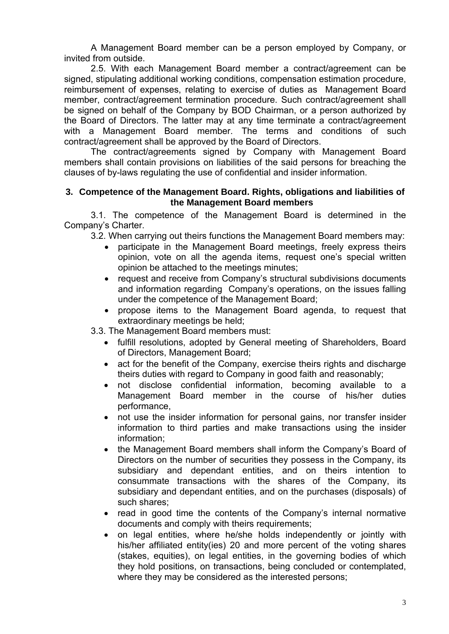A Management Board member can be a person employed by Company, or invited from outside.

2.5. With each Management Board member a contract/agreement can be signed, stipulating additional working conditions, compensation estimation procedure, reimbursement of expenses, relating to exercise of duties as Management Board member, contract/agreement termination procedure. Such contract/agreement shall be signed on behalf of the Company by BOD Chairman, or a person authorized by the Board of Directors. The latter may at any time terminate a contract/agreement with a Management Board member. The terms and conditions of such contract/agreement shall be approved by the Board of Directors.

The contract/agreements signed by Company with Management Board members shall contain provisions on liabilities of the said persons for breaching the clauses of by-laws regulating the use of confidential and insider information.

#### **3. Competence of the Management Board. Rights, obligations and liabilities of the Management Board members**

3.1. The competence of the Management Board is determined in the Company's Charter.

3.2. When carrying out theirs functions the Management Board members may:

- participate in the Management Board meetings, freely express theirs opinion, vote on all the agenda items, request one's special written opinion be attached to the meetings minutes;
- request and receive from Company's structural subdivisions documents and information regarding Company's operations, on the issues falling under the competence of the Management Board;
- propose items to the Management Board agenda, to request that extraordinary meetings be held;

3.3. The Management Board members must:

- fulfill resolutions, adopted by General meeting of Shareholders, Board of Directors, Management Board;
- act for the benefit of the Company, exercise theirs rights and discharge theirs duties with regard to Company in good faith and reasonably;
- not disclose confidential information, becoming available to a Management Board member in the course of his/her duties performance,
- not use the insider information for personal gains, nor transfer insider information to third parties and make transactions using the insider information;
- the Management Board members shall inform the Company's Board of Directors on the number of securities they possess in the Company, its subsidiary and dependant entities, and on theirs intention to consummate transactions with the shares of the Company, its subsidiary and dependant entities, and on the purchases (disposals) of such shares;
- read in good time the contents of the Company's internal normative documents and comply with theirs requirements;
- on legal entities, where he/she holds independently or jointly with his/her affiliated entity(ies) 20 and more percent of the voting shares (stakes, equities), on legal entities, in the governing bodies of which they hold positions, on transactions, being concluded or contemplated, where they may be considered as the interested persons;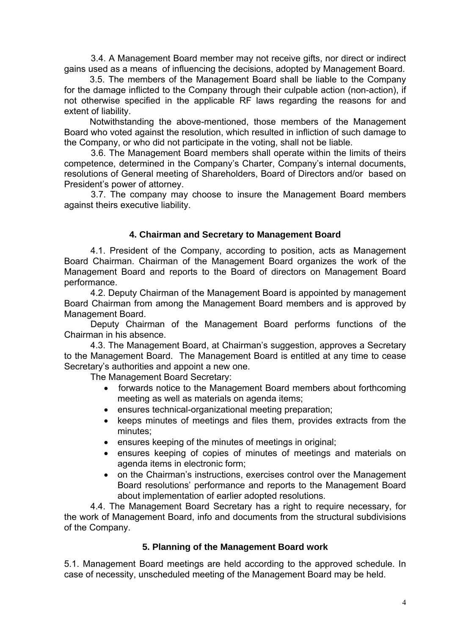3.4. A Management Board member may not receive gifts, nor direct or indirect gains used as a means of influencing the decisions, adopted by Management Board.

3.5. The members of the Management Board shall be liable to the Company for the damage inflicted to the Company through their culpable action (non-action), if not otherwise specified in the applicable RF laws regarding the reasons for and extent of liability.

Notwithstanding the above-mentioned, those members of the Management Board who voted against the resolution, which resulted in infliction of such damage to the Company, or who did not participate in the voting, shall not be liable.

3.6. The Management Board members shall operate within the limits of theirs competence, determined in the Company's Charter, Company's internal documents, resolutions of General meeting of Shareholders, Board of Directors and/or based on President's power of attorney.

3.7. The company may choose to insure the Management Board members against theirs executive liability.

#### **4. Chairman and Secretary to Management Board**

4.1. President of the Company, according to position, acts as Management Board Chairman. Chairman of the Management Board organizes the work of the Management Board and reports to the Board of directors on Management Board performance.

4.2. Deputy Chairman of the Management Board is appointed by management Board Chairman from among the Management Board members and is approved by Management Board.

Deputy Chairman of the Management Board performs functions of the Chairman in his absence.

4.3. The Management Board, at Chairman's suggestion, approves a Secretary to the Management Board. The Management Board is entitled at any time to cease Secretary's authorities and appoint a new one.

The Management Board Secretary:

- forwards notice to the Management Board members about forthcoming meeting as well as materials on agenda items;
- ensures technical-organizational meeting preparation;
- keeps minutes of meetings and files them, provides extracts from the minutes;
- ensures keeping of the minutes of meetings in original;
- ensures keeping of copies of minutes of meetings and materials on agenda items in electronic form;
- on the Chairman's instructions, exercises control over the Management Board resolutions' performance and reports to the Management Board about implementation of earlier adopted resolutions.

4.4. The Management Board Secretary has a right to require necessary, for the work of Management Board, info and documents from the structural subdivisions of the Company.

#### **5. Planning of the Management Board work**

5.1. Management Board meetings are held according to the approved schedule. In case of necessity, unscheduled meeting of the Management Board may be held.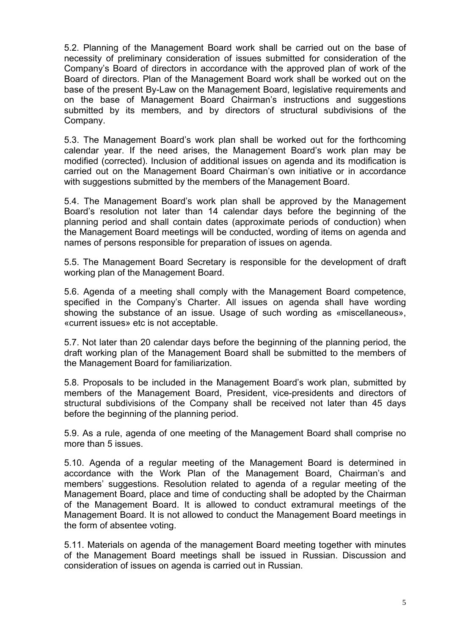5.2. Planning of the Management Board work shall be carried out on the base of necessity of preliminary consideration of issues submitted for consideration of the Company's Board of directors in accordance with the approved plan of work of the Board of directors. Plan of the Management Board work shall be worked out on the base of the present By-Law on the Management Board, legislative requirements and on the base of Management Board Chairman's instructions and suggestions submitted by its members, and by directors of structural subdivisions of the Company.

5.3. The Management Board's work plan shall be worked out for the forthcoming calendar year. If the need arises, the Management Board's work plan may be modified (corrected). Inclusion of additional issues on agenda and its modification is carried out on the Management Board Chairman's own initiative or in accordance with suggestions submitted by the members of the Management Board.

5.4. The Management Board's work plan shall be approved by the Management Board's resolution not later than 14 calendar days before the beginning of the planning period and shall contain dates (approximate periods of conduction) when the Management Board meetings will be conducted, wording of items on agenda and names of persons responsible for preparation of issues on agenda.

5.5. The Management Board Secretary is responsible for the development of draft working plan of the Management Board.

5.6. Agenda of a meeting shall comply with the Management Board competence, specified in the Company's Charter. All issues on agenda shall have wording showing the substance of an issue. Usage of such wording as «miscellaneous», «current issues» etc is not acceptable.

5.7. Not later than 20 calendar days before the beginning of the planning period, the draft working plan of the Management Board shall be submitted to the members of the Management Board for familiarization.

5.8. Proposals to be included in the Management Board's work plan, submitted by members of the Management Board, President, vice-presidents and directors of structural subdivisions of the Company shall be received not later than 45 days before the beginning of the planning period.

5.9. As a rule, agenda of one meeting of the Management Board shall comprise no more than 5 issues.

5.10. Agenda of a regular meeting of the Management Board is determined in accordance with the Work Plan of the Management Board, Chairman's and members' suggestions. Resolution related to agenda of a regular meeting of the Management Board, place and time of conducting shall be adopted by the Chairman of the Management Board. It is allowed to conduct extramural meetings of the Management Board. It is not allowed to conduct the Management Board meetings in the form of absentee voting.

5.11. Materials on agenda of the management Board meeting together with minutes of the Management Board meetings shall be issued in Russian. Discussion and consideration of issues on agenda is carried out in Russian.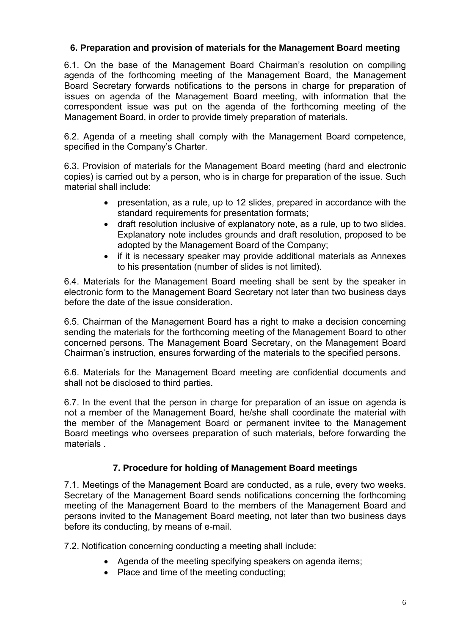## **6. Preparation and provision of materials for the Management Board meeting**

6.1. On the base of the Management Board Chairman's resolution on compiling agenda of the forthcoming meeting of the Management Board, the Management Board Secretary forwards notifications to the persons in charge for preparation of issues on agenda of the Management Board meeting, with information that the correspondent issue was put on the agenda of the forthcoming meeting of the Management Board, in order to provide timely preparation of materials.

6.2. Agenda of a meeting shall comply with the Management Board competence, specified in the Company's Charter.

6.3. Provision of materials for the Management Board meeting (hard and electronic copies) is carried out by a person, who is in charge for preparation of the issue. Such material shall include:

- presentation, as a rule, up to 12 slides, prepared in accordance with the standard requirements for presentation formats;
- draft resolution inclusive of explanatory note, as a rule, up to two slides. Explanatory note includes grounds and draft resolution, proposed to be adopted by the Management Board of the Company;
- if it is necessary speaker may provide additional materials as Annexes to his presentation (number of slides is not limited).

6.4. Materials for the Management Board meeting shall be sent by the speaker in electronic form to the Management Board Secretary not later than two business days before the date of the issue consideration.

6.5. Chairman of the Management Board has a right to make a decision concerning sending the materials for the forthcoming meeting of the Management Board to other concerned persons. The Management Board Secretary, on the Management Board Chairman's instruction, ensures forwarding of the materials to the specified persons.

6.6. Materials for the Management Board meeting are confidential documents and shall not be disclosed to third parties.

6.7. In the event that the person in charge for preparation of an issue on agenda is not a member of the Management Board, he/she shall coordinate the material with the member of the Management Board or permanent invitee to the Management Board meetings who oversees preparation of such materials, before forwarding the materials .

## **7. Procedure for holding of Management Board meetings**

7.1. Meetings of the Management Board are conducted, as a rule, every two weeks. Secretary of the Management Board sends notifications concerning the forthcoming meeting of the Management Board to the members of the Management Board and persons invited to the Management Board meeting, not later than two business days before its conducting, by means of e-mail.

7.2. Notification concerning conducting a meeting shall include:

- Agenda of the meeting specifying speakers on agenda items;
- Place and time of the meeting conducting;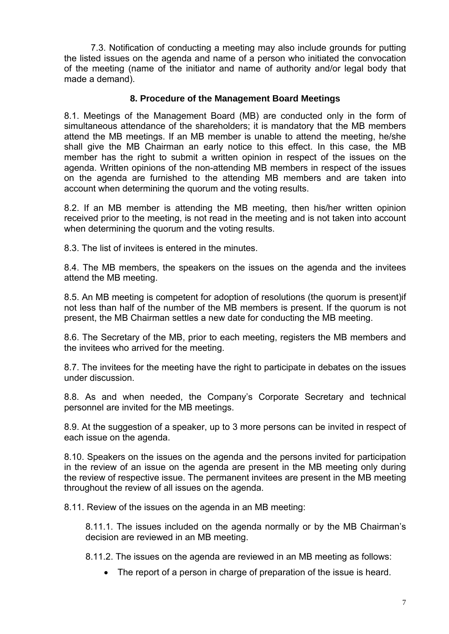7.3. Notification of conducting a meeting may also include grounds for putting the listed issues on the agenda and name of a person who initiated the convocation of the meeting (name of the initiator and name of authority and/or legal body that made a demand).

### **8. Procedure of the Management Board Meetings**

8.1. Meetings of the Management Board (MB) are conducted only in the form of simultaneous attendance of the shareholders; it is mandatory that the MB members attend the MB meetings. If an MB member is unable to attend the meeting, he/she shall give the MB Chairman an early notice to this effect. In this case, the MB member has the right to submit a written opinion in respect of the issues on the agenda. Written opinions of the non-attending MB members in respect of the issues on the agenda are furnished to the attending MB members and are taken into account when determining the quorum and the voting results.

8.2. If an MB member is attending the MB meeting, then his/her written opinion received prior to the meeting, is not read in the meeting and is not taken into account when determining the quorum and the voting results.

8.3. The list of invitees is entered in the minutes.

8.4. The MB members, the speakers on the issues on the agenda and the invitees attend the MB meeting.

8.5. An MB meeting is competent for adoption of resolutions (the quorum is present)if not less than half of the number of the MB members is present. If the quorum is not present, the MB Chairman settles a new date for conducting the MB meeting.

8.6. The Secretary of the MB, prior to each meeting, registers the MB members and the invitees who arrived for the meeting.

8.7. The invitees for the meeting have the right to participate in debates on the issues under discussion.

8.8. As and when needed, the Company's Corporate Secretary and technical personnel are invited for the MB meetings.

8.9. At the suggestion of a speaker, up to 3 more persons can be invited in respect of each issue on the agenda.

8.10. Speakers on the issues on the agenda and the persons invited for participation in the review of an issue on the agenda are present in the MB meeting only during the review of respective issue. The permanent invitees are present in the MB meeting throughout the review of all issues on the agenda.

8.11. Review of the issues on the agenda in an MB meeting:

8.11.1. The issues included on the agenda normally or by the MB Chairman's decision are reviewed in an MB meeting.

8.11.2. The issues on the agenda are reviewed in an MB meeting as follows:

• The report of a person in charge of preparation of the issue is heard.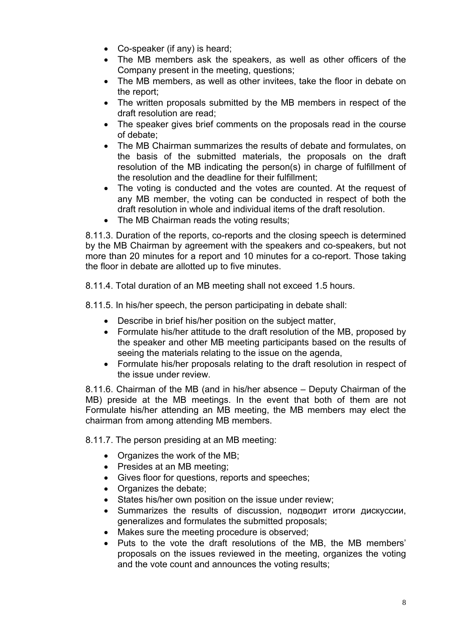- Co-speaker (if any) is heard;
- The MB members ask the speakers, as well as other officers of the Company present in the meeting, questions;
- The MB members, as well as other invitees, take the floor in debate on the report;
- The written proposals submitted by the MB members in respect of the draft resolution are read;
- The speaker gives brief comments on the proposals read in the course of debate;
- The MB Chairman summarizes the results of debate and formulates, on the basis of the submitted materials, the proposals on the draft resolution of the MB indicating the person(s) in charge of fulfillment of the resolution and the deadline for their fulfillment;
- The voting is conducted and the votes are counted. At the request of any MB member, the voting can be conducted in respect of both the draft resolution in whole and individual items of the draft resolution.
- The MB Chairman reads the voting results;

8.11.3. Duration of the reports, co-reports and the closing speech is determined by the MB Chairman by agreement with the speakers and co-speakers, but not more than 20 minutes for a report and 10 minutes for a co-report. Those taking the floor in debate are allotted up to five minutes.

8.11.4. Total duration of an MB meeting shall not exceed 1.5 hours.

8.11.5. In his/her speech, the person participating in debate shall:

- Describe in brief his/her position on the subject matter,
- Formulate his/her attitude to the draft resolution of the MB, proposed by the speaker and other MB meeting participants based on the results of seeing the materials relating to the issue on the agenda,
- Formulate his/her proposals relating to the draft resolution in respect of the issue under review.

8.11.6. Chairman of the MB (and in his/her absence – Deputy Chairman of the MB) preside at the MB meetings. In the event that both of them are not Formulate his/her attending an MB meeting, the MB members may elect the chairman from among attending MB members.

8.11.7. The person presiding at an MB meeting:

- Organizes the work of the MB;
- Presides at an MB meeting;
- Gives floor for questions, reports and speeches;
- Organizes the debate;
- States his/her own position on the issue under review:
- Summarizes the results of discussion, подводит итоги дискуссии, generalizes and formulates the submitted proposals;
- Makes sure the meeting procedure is observed;
- Puts to the vote the draft resolutions of the MB, the MB members' proposals on the issues reviewed in the meeting, organizes the voting and the vote count and announces the voting results;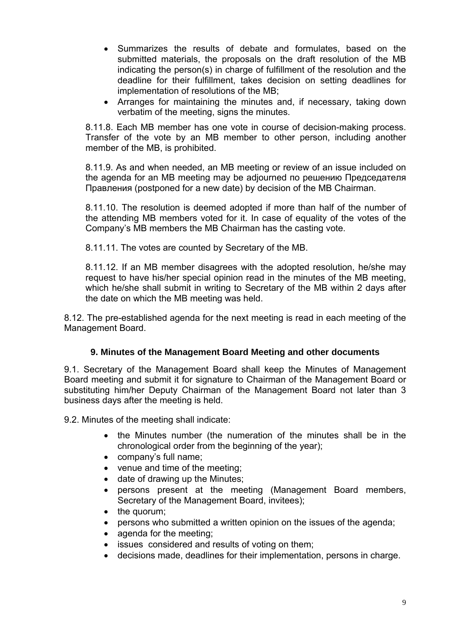- Summarizes the results of debate and formulates, based on the submitted materials, the proposals on the draft resolution of the MB indicating the person(s) in charge of fulfillment of the resolution and the deadline for their fulfillment, takes decision on setting deadlines for implementation of resolutions of the MB;
- Arranges for maintaining the minutes and, if necessary, taking down verbatim of the meeting, signs the minutes.

8.11.8. Each MB member has one vote in course of decision-making process. Transfer of the vote by an MB member to other person, including another member of the MB, is prohibited.

8.11.9. As and when needed, an MB meeting or review of an issue included on the agenda for an MB meeting may be adjourned по решению Председателя Правления (postponed for a new date) by decision of the MB Chairman.

8.11.10. The resolution is deemed adopted if more than half of the number of the attending MB members voted for it. In case of equality of the votes of the Company's MB members the MB Chairman has the casting vote.

8.11.11. The votes are counted by Secretary of the MB.

8.11.12. If an MB member disagrees with the adopted resolution, he/she may request to have his/her special opinion read in the minutes of the MB meeting, which he/she shall submit in writing to Secretary of the MB within 2 days after the date on which the MB meeting was held.

8.12. The pre-established agenda for the next meeting is read in each meeting of the Management Board.

## **9. Minutes of the Management Board Meeting and other documents**

9.1. Secretary of the Management Board shall keep the Minutes of Management Board meeting and submit it for signature to Chairman of the Management Board or substituting him/her Deputy Chairman of the Management Board not later than 3 business days after the meeting is held.

9.2. Minutes of the meeting shall indicate:

- the Minutes number (the numeration of the minutes shall be in the chronological order from the beginning of the year);
- company's full name;
- venue and time of the meeting;
- date of drawing up the Minutes;
- persons present at the meeting (Management Board members, Secretary of the Management Board, invitees);
- the quorum;
- persons who submitted a written opinion on the issues of the agenda;
- agenda for the meeting;
- issues considered and results of voting on them;
- decisions made, deadlines for their implementation, persons in charge.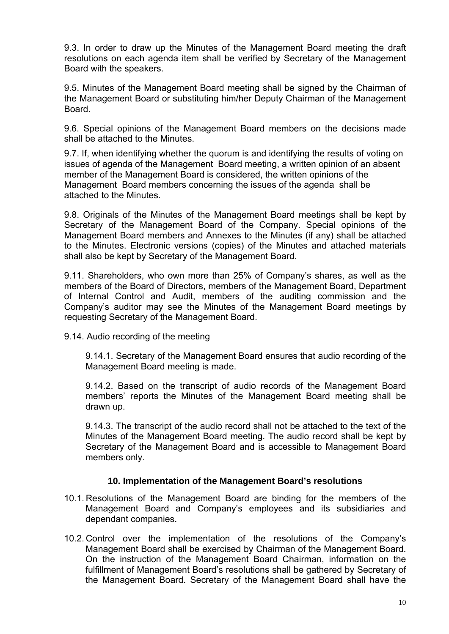9.3. In order to draw up the Minutes of the Management Board meeting the draft resolutions on each agenda item shall be verified by Secretary of the Management Board with the speakers.

9.5. Minutes of the Management Board meeting shall be signed by the Chairman of the Management Board or substituting him/her Deputy Chairman of the Management Board.

9.6. Special opinions of the Management Board members on the decisions made shall be attached to the Minutes.

9.7. If, when identifying whether the quorum is and identifying the results of voting on issues of agenda of the Management Board meeting, a written opinion of an absent member of the Management Board is considered, the written opinions of the Management Board members concerning the issues of the agenda shall be attached to the Minutes.

9.8. Originals of the Minutes of the Management Board meetings shall be kept by Secretary of the Management Board of the Company. Special opinions of the Management Board members and Annexes to the Minutes (if any) shall be attached to the Minutes. Electronic versions (copies) of the Minutes and attached materials shall also be kept by Secretary of the Management Board.

9.11. Shareholders, who own more than 25% of Company's shares, as well as the members of the Board of Directors, members of the Management Board, Department of Internal Control and Audit, members of the auditing commission and the Company's auditor may see the Minutes of the Management Board meetings by requesting Secretary of the Management Board.

9.14. Audio recording of the meeting

9.14.1. Secretary of the Management Board ensures that audio recording of the Management Board meeting is made.

9.14.2. Based on the transcript of audio records of the Management Board members' reports the Minutes of the Management Board meeting shall be drawn up.

9.14.3. The transcript of the audio record shall not be attached to the text of the Minutes of the Management Board meeting. The audio record shall be kept by Secretary of the Management Board and is accessible to Management Board members only.

#### **10. Implementation of the Management Board's resolutions**

- 10.1. Resolutions of the Management Board are binding for the members of the Management Board and Company's employees and its subsidiaries and dependant companies.
- 10.2. Control over the implementation of the resolutions of the Company's Management Board shall be exercised by Chairman of the Management Board. On the instruction of the Management Board Chairman, information on the fulfillment of Management Board's resolutions shall be gathered by Secretary of the Management Board. Secretary of the Management Board shall have the